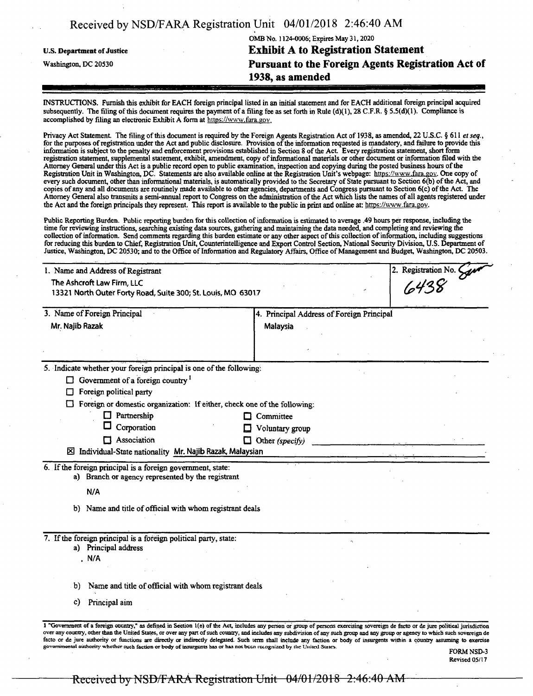| Received by NSD/FARA Registration Unit $U4/(U1/Z)$ 10 2.40.40 April |                                                    |
|---------------------------------------------------------------------|----------------------------------------------------|
|                                                                     | OMB No. 1124-0006; Expires May 31, 2020            |
| <b>U.S. Department of Justice</b>                                   | <b>Exhibit A to Registration Statement</b>         |
| Washington, DC 20530                                                | Pursuant to the Foreign Agents Registration Act of |
|                                                                     | 1938, as amended                                   |

**Received by NSD/FARA Registration Unit 04/01/2018 2:46:40 AM**

INSTRUCTIONS. Furnish this exhibit for EACH foreign principal listed in an initial statement and for EACH additional foreign principal acquired subsequently. The filing of this document requires the payment of a filing fee as set forth in Rule (d)(1), 28 C.F.R. § 5.5(d)(1). Compliance is accomplished by filing an electronic Exhibit A form at https://www.fara.gov

Privacy Act Statement. The filing of this document is required by the Foreign Agents Registration Act of 1938, as amended, 22 U.S.C. § 611 *et seq.*<br>for the purposes of registration under the Act and public disclosure. Pro information is subject to the penalty and enforcement provisions established in Section 8 ofthe Act Every registration statement short form registration statement, supplemental statement, exhibit, amendment, copy of informational materials or other document or information filed with the Attorney General under this Act is a public record open to public examination, inspection and copying during the posted business hours ofthe Registration Unit in Washington, DC. Statements are also available online at the Registration Unit's webpage: https://www.fara.gov. One copy of every such document, other than informational materials, is automatically provided to the Secretary of State pursuant to Section 6(b) of the Act, and copies ofany and all documents are routinely made available to other agencies, departments and Congress pursuant to Section 6(c) ofthe Act. The Attorney General also transmits a semi-annual report to Congress on the administration of the Act which lists the names of all agents registered under the Act and the foreign principals they represent. This report is available to the public in print and online at: https://www.fara.gov.

Public Reporting Burden. Public reporting burden for this collection of information is estimated to average .49 hours per response, including the time forreviewing instructions, searching existing data sources, gathering and maintaining the data needed, and completing and reviewing the collection of information. Send comments regarding this burden estimate or any other aspect of this collection of information, including suggestions for reducing this burden to Chief, Registration Unit, Counterintelligence and Export Control Section, National Security Division, U.S. Department of Justice, Washington, DC 20530; and to the Office of Information and Regulatory Affairs, Office of Management and Budget, Washington, DC 20503.

| 1. Name and Address of Registrant                                                                                                                                                                                                                                                                                                                                    |                                           |                             |  |
|----------------------------------------------------------------------------------------------------------------------------------------------------------------------------------------------------------------------------------------------------------------------------------------------------------------------------------------------------------------------|-------------------------------------------|-----------------------------|--|
| The Ashcroft Law Firm, LLC                                                                                                                                                                                                                                                                                                                                           |                                           | 2. Registration No. $\zeta$ |  |
| 13321 North Outer Forty Road, Suite 300; St. Louis, MO 63017                                                                                                                                                                                                                                                                                                         |                                           |                             |  |
|                                                                                                                                                                                                                                                                                                                                                                      |                                           |                             |  |
| 3. Name of Foreign Principal                                                                                                                                                                                                                                                                                                                                         | 4. Principal Address of Foreign Principal |                             |  |
| Mr. Najib Razak                                                                                                                                                                                                                                                                                                                                                      | Malaysia                                  |                             |  |
|                                                                                                                                                                                                                                                                                                                                                                      |                                           |                             |  |
|                                                                                                                                                                                                                                                                                                                                                                      |                                           |                             |  |
| 5. Indicate whether your foreign principal is one of the following:                                                                                                                                                                                                                                                                                                  |                                           |                             |  |
| $\Box$ Government of a foreign country <sup>1</sup>                                                                                                                                                                                                                                                                                                                  |                                           |                             |  |
| Foreign political party<br>□                                                                                                                                                                                                                                                                                                                                         |                                           |                             |  |
| Foreign or domestic organization: If either, check one of the following:                                                                                                                                                                                                                                                                                             |                                           |                             |  |
| Partnership                                                                                                                                                                                                                                                                                                                                                          | $\Box$ Committee                          |                             |  |
| Corporation                                                                                                                                                                                                                                                                                                                                                          | Voluntary group                           |                             |  |
| Association                                                                                                                                                                                                                                                                                                                                                          | $\Box$ Other (specify)                    |                             |  |
| $\boxtimes$ Individual-State nationality Mr. Najib Razak, Malaysian                                                                                                                                                                                                                                                                                                  |                                           |                             |  |
|                                                                                                                                                                                                                                                                                                                                                                      |                                           |                             |  |
| 6. If the foreign principal is a foreign government, state:<br>a) Branch or agency represented by the registrant                                                                                                                                                                                                                                                     |                                           |                             |  |
| N/A                                                                                                                                                                                                                                                                                                                                                                  |                                           |                             |  |
| b) Name and title of official with whom registrant deals                                                                                                                                                                                                                                                                                                             |                                           |                             |  |
|                                                                                                                                                                                                                                                                                                                                                                      |                                           |                             |  |
| 7. If the foreign principal is a foreign political party, state:                                                                                                                                                                                                                                                                                                     |                                           |                             |  |
| a) Principal address<br>. N/A                                                                                                                                                                                                                                                                                                                                        |                                           |                             |  |
|                                                                                                                                                                                                                                                                                                                                                                      |                                           |                             |  |
|                                                                                                                                                                                                                                                                                                                                                                      |                                           |                             |  |
| Name and title of official with whom registrant deals<br>b)                                                                                                                                                                                                                                                                                                          |                                           |                             |  |
| Principal aim<br>C)                                                                                                                                                                                                                                                                                                                                                  |                                           |                             |  |
|                                                                                                                                                                                                                                                                                                                                                                      |                                           |                             |  |
| 1 "Government of a foreign country," as defined in Section 1(e) of the Act, includes any person or group of persons exercising sovereign de facto or de jure political jurisdiction                                                                                                                                                                                  |                                           |                             |  |
| over any country, other than the United States, or over any part of such country, and includes any subdivision of any such group and any group or agency to which such sovereign de<br>facto or de jure authority or functions are directly or indirectly delegated. Such term shall include any faction or body of insurgents within a country assuming to exercise |                                           |                             |  |
| governmental authority whether such faction or body of insurgents has or has not been recognized by the United States.                                                                                                                                                                                                                                               |                                           | <b>FORM NSD-3</b>           |  |
|                                                                                                                                                                                                                                                                                                                                                                      |                                           | Revised 05/17               |  |

## Received by NSD/FARA Registration-Unit 04/01/2018 2:46:40 AM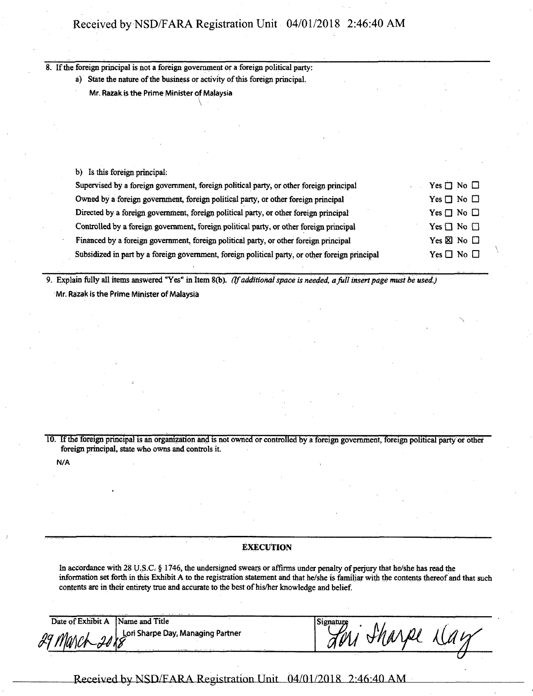8. If the foreign principal is not a foreign government or a foreign political party:

a) State the nature of the business or activity of this foreign principal.

**Mr.** Razak is the Prime Minister of Malaysia \

b) Is this foreign principal:

| Supervised by a foreign government, foreign political party, or other foreign principal         | Yes $\Box$ No $\Box$         |
|-------------------------------------------------------------------------------------------------|------------------------------|
| Owned by a foreign government, foreign political party, or other foreign principal              | Yes $\Box$ No $\Box$         |
| Directed by a foreign government, foreign political party, or other foreign principal           | Yes $\Box$ No $\Box$         |
| Controlled by a foreign government, foreign political party, or other foreign principal         | $\gamma$ es $\Box$ No $\Box$ |
| Financed by a foreign government, foreign political party, or other foreign principal           | Yes $\Sigma$ No $\square$    |
| Subsidized in part by a foreign government, foreign political party, or other foreign principal | $Yes \Box No \Box$           |
|                                                                                                 |                              |

9. Explain fully all items answered "Yes" in Item 8(b). *(Ifadditionalspace* is *needed, afull insertpage must be used.)* **Mr. Razak isthe Prime Minister ofMalaysia**

10. Ifthe foreign principal is an organization and is not owned or controlled by a foreign government, foreign political party or other foreign principal, state who owns and controls it.

**N/A**

### **EXECUTION**

In accordance with 28 U.S.C. § 1746, the undersigned swears or affirms under penalty of perjury that he/she has read the information set forth in this Exhibit A to the registration statement and that he/she is familiar with the contents thereof and that such contents are in their entirety true and accurate to the best of his/her knowledge and belief.

Date of Exhibit A Name and Title *pyfjjWk-jr* **Lori Sharpe Day, Managing Partner if**

| פרנד   | Ĥ.<br>71 | $\sim$ $\sim$ |
|--------|----------|---------------|
| $\sim$ |          |               |

**Received by NSD/FARA Registration Unit**  $04/01/2018$  2:46:40 AM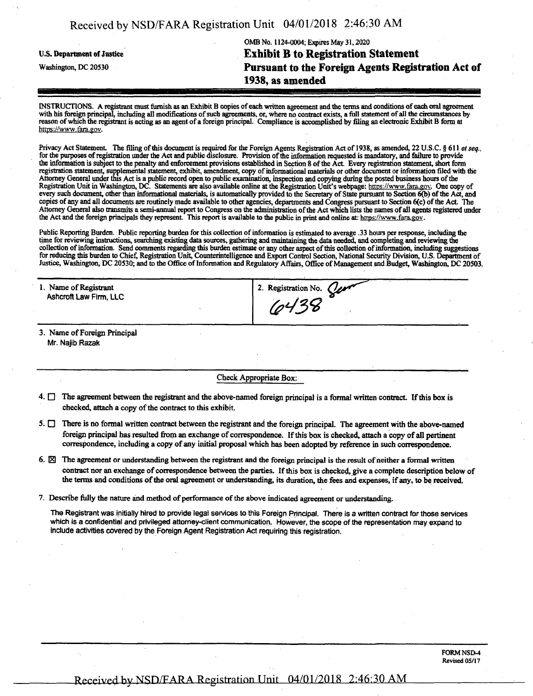| Received by NSD/FARA Registration Unit 04/01/2018 2:46:30 AM |  |  |
|--------------------------------------------------------------|--|--|
|--------------------------------------------------------------|--|--|

# OMB No. 1124-0004; Expires May 31,2020 U.S. Department of Justice **Exhibit B** to **Registration Statement** Washington, dc <sup>20530</sup> **Pursuant to the Foreign Agents Registration Act of 1938, as amended**

INSTRUCTIONS. A registrant must furnish as an Exhibit B copies ofeach written agreement and the terms and conditions ofeach oral agreement with his foreign principal, including all modifications of such agreements, or, where no contract exists, a full statement of all the circumstances by reason of which the registrant is acting as an agent of a foreign principal. Compliance is accomplished by filing an electronic Exhibit B form at https://www.fara.gov.

Privacy Act Statement. The filing of this document is required for the Foreign Agents Registration Act of 1938, as amended, 22 U.S.C. § 611 *et seq.*, for the purposes of registration under the Act and public disclosure. Provision of the information requested is mandatory, and failure to provide the information is subject to the penalty and enforcement provisions established in Section 8 of the Act. Every registration statement, short form registration statement, supplemental statement, exhibit, amendment, copy of informational materials or other document or information filed with the Attorney General under this Act is a public record open to public examination, inspection and copying during the posted business hours of the Registration Unit in Washington, DC. Statements are also available online at the Registration Unit's webpage: https://www.fara.gov. One copy of<br>every such document, other than informational materials, is automatically prov copies of any and all documents are routinely made available to other agencies, departments and Congress pursuant to Section 6(c) of the Act. The Attorney General also transmits a semi-annual report to Congress on the administration of the Act which lists the names of all agents registered under the Act and the foreign principals they represent. This report is available to the public in print and online at: https://www.fara.gov.

Public Reporting Burden. Public reporting burden for this collection of information is estimated to average .33 hours per response, including the time for reviewing instructions, searching existing data sources, gathering collection of information. Send comments regarding this burden estimate or any other aspect of this collection of information, including suggestions for reducing this burden to Chief, Registration Unit, Counterintelligence and Export Control Section, National Security Division, U.S. Department of Justice, Washington, DC 20530; and to the Office of Information and Regulatory Affairs, Office of Management and Budget, Washington, DC 20503.

| 1. Name of Registrant<br>Ashcroft Law Firm, LLC | 2. Registration No. $Qer^2$ |  |
|-------------------------------------------------|-----------------------------|--|
| 3. Name of Foreign Principal                    |                             |  |

Mr. Najib Razak

#### Check Appropriate Box:

- $4.$  The agreement between the registrant and the above-named foreign principal is a formal written contract. If this box is checked, attach a copy of the contract to this exhibit.
- $5.$   $\Box$  There is no formal written contract between the registrant and the foreign principal. The agreement with the above-named foreign principal has resulted from an exchange of correspondence. If this box is checked, attach a copy of all pertinent correspondence, including a copy of any initial proposal which has been adopted by reference in such correspondence.
- 6.  $\boxtimes$  The agreement or understanding between the registrant and the foreign principal is the result of neither a formal written contract nor an exchange of correspondence between the parties. If this box is checked, give a complete description below of the terms and conditions of the oral agreement or understanding, its duration, the fees and expenses, if any, to be received.
- 7. Describe fully the nature and method of performance of the above indicated agreement or understanding.

The Registrant was initially hired to provide legal services to this Foreign Principal. There is a written contract for those services which is a confidential and privileged attorney-client communication. However, the scope ofthe representation may expand to include activities covered by the Foreign Agent Registration Act requiring this registration.

## **Received by NSD/FARA Registration Unit**  $04/01/2018$  2:46:30 AM